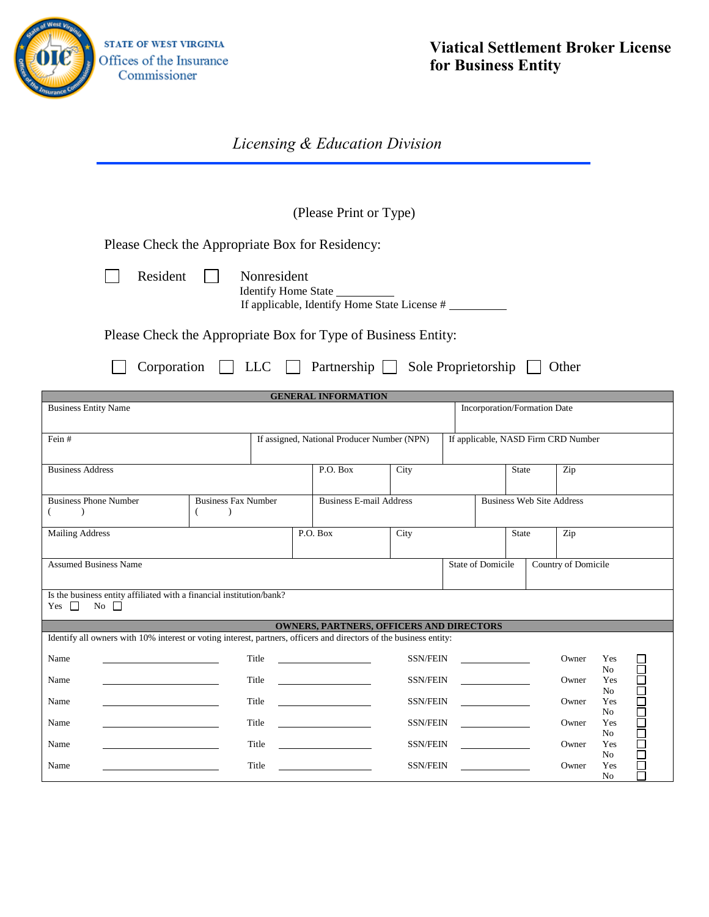

## *Licensing & Education Division*

(Please Print or Type)

Please Check the Appropriate Box for Residency:

| Resident |  |
|----------|--|
|          |  |

 Identify Home State If applicable, Identify Home State License #

Please Check the Appropriate Box for Type of Business Entity:

Resident Nonresident

|  |  |  |  | $\Box$ Corporation $\Box$ LLC $\Box$ Partnership $\Box$ Sole Proprietorship $\Box$ Other |  |
|--|--|--|--|------------------------------------------------------------------------------------------|--|
|--|--|--|--|------------------------------------------------------------------------------------------|--|

| <b>GENERAL INFORMATION</b>                                                                                         |                            |                                |                                                                                                                                                                                                                                      |      |                              |                                                 |     |       |                       |                  |
|--------------------------------------------------------------------------------------------------------------------|----------------------------|--------------------------------|--------------------------------------------------------------------------------------------------------------------------------------------------------------------------------------------------------------------------------------|------|------------------------------|-------------------------------------------------|-----|-------|-----------------------|------------------|
| <b>Business Entity Name</b>                                                                                        |                            |                                |                                                                                                                                                                                                                                      |      | Incorporation/Formation Date |                                                 |     |       |                       |                  |
| Fein#                                                                                                              |                            |                                | If assigned, National Producer Number (NPN)                                                                                                                                                                                          |      |                              | If applicable, NASD Firm CRD Number             |     |       |                       |                  |
| <b>Business Address</b>                                                                                            |                            |                                | P.O. Box                                                                                                                                                                                                                             | City | <b>State</b>                 |                                                 |     | Zip   |                       |                  |
| <b>Business Phone Number</b>                                                                                       | <b>Business Fax Number</b> | <b>Business E-mail Address</b> |                                                                                                                                                                                                                                      |      |                              | <b>Business Web Site Address</b>                |     |       |                       |                  |
| <b>Mailing Address</b>                                                                                             |                            | P.O. Box                       | City                                                                                                                                                                                                                                 |      | <b>State</b>                 |                                                 | Zip |       |                       |                  |
| <b>Assumed Business Name</b>                                                                                       |                            |                                |                                                                                                                                                                                                                                      |      |                              | <b>State of Domicile</b><br>Country of Domicile |     |       |                       |                  |
| Is the business entity affiliated with a financial institution/bank?<br>$No \ \ \Box$<br>Yes $\Box$                |                            |                                |                                                                                                                                                                                                                                      |      |                              |                                                 |     |       |                       |                  |
| Identify all owners with 10% interest or voting interest, partners, officers and directors of the business entity: |                            |                                | <b>OWNERS, PARTNERS, OFFICERS AND DIRECTORS</b>                                                                                                                                                                                      |      |                              |                                                 |     |       |                       |                  |
| Name                                                                                                               |                            | Title                          |                                                                                                                                                                                                                                      |      | SSN/FEIN                     |                                                 |     | Owner | Yes<br>No             |                  |
| Name                                                                                                               |                            | Title                          | <u> 1989 - Andrea Andrew Maria Barat (</u>                                                                                                                                                                                           |      | SSN/FEIN                     |                                                 |     | Owner | Yes<br>No             | 10000            |
| Name                                                                                                               |                            | Title                          | <u> 1989 - Andrea State Barbara, prestavlja predstavanja predstavanja predstavanja predstavanja predstavanja pre</u>                                                                                                                 |      | SSN/FEIN                     |                                                 |     | Owner | Yes<br>No             |                  |
| Name                                                                                                               |                            | Title                          |                                                                                                                                                                                                                                      |      | SSN/FEIN                     |                                                 |     | Owner | Yes<br>No             | - 2000<br>- 2000 |
| Name                                                                                                               |                            | Title                          | <u>and the company of the company of the company of the company of the company of the company of the company of the company of the company of the company of the company of the company of the company of the company of the com</u> |      | SSN/FEIN                     |                                                 |     | Owner | Yes<br>No             |                  |
| Name                                                                                                               |                            | Title                          | <u>and the state of the state of the state of the state of the state of the state of the state of the state of the state of the state of the state of the state of the state of the state of the state of the state of the state</u> |      | SSN/FEIN                     |                                                 |     | Owner | Yes<br>N <sub>o</sub> |                  |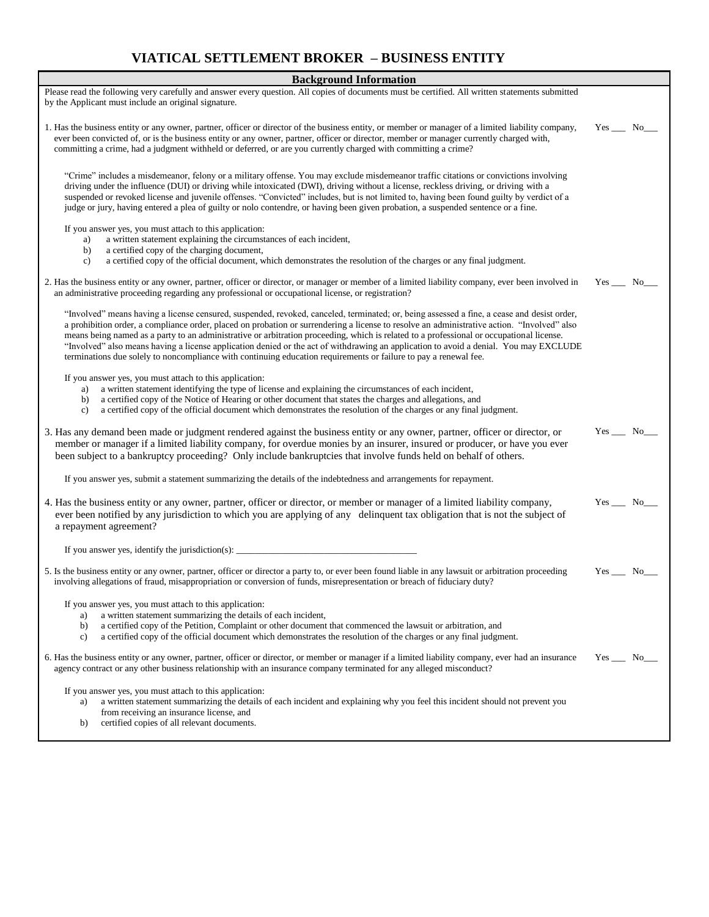# **VIATICAL SETTLEMENT BROKER – BUSINESS ENTITY**

| <b>Background Information</b>                                                                                                                                                                                                                                                                                                                                                                                                                                                                                                                                                                                                                                                                      |                 |  |  |  |  |
|----------------------------------------------------------------------------------------------------------------------------------------------------------------------------------------------------------------------------------------------------------------------------------------------------------------------------------------------------------------------------------------------------------------------------------------------------------------------------------------------------------------------------------------------------------------------------------------------------------------------------------------------------------------------------------------------------|-----------------|--|--|--|--|
| Please read the following very carefully and answer every question. All copies of documents must be certified. All written statements submitted<br>by the Applicant must include an original signature.                                                                                                                                                                                                                                                                                                                                                                                                                                                                                            |                 |  |  |  |  |
| 1. Has the business entity or any owner, partner, officer or director of the business entity, or member or manager of a limited liability company,<br>ever been convicted of, or is the business entity or any owner, partner, officer or director, member or manager currently charged with,<br>committing a crime, had a judgment withheld or deferred, or are you currently charged with committing a crime?                                                                                                                                                                                                                                                                                    |                 |  |  |  |  |
| "Crime" includes a misdemeanor, felony or a military offense. You may exclude misdemeanor traffic citations or convictions involving<br>driving under the influence (DUI) or driving while intoxicated (DWI), driving without a license, reckless driving, or driving with a<br>suspended or revoked license and juvenile offenses. "Convicted" includes, but is not limited to, having been found guilty by verdict of a<br>judge or jury, having entered a plea of guilty or nolo contendre, or having been given probation, a suspended sentence or a fine.                                                                                                                                     |                 |  |  |  |  |
| If you answer yes, you must attach to this application:<br>a written statement explaining the circumstances of each incident,<br>a)<br>a certified copy of the charging document,<br>b)<br>a certified copy of the official document, which demonstrates the resolution of the charges or any final judgment.<br>c)                                                                                                                                                                                                                                                                                                                                                                                |                 |  |  |  |  |
| 2. Has the business entity or any owner, partner, officer or director, or manager or member of a limited liability company, ever been involved in<br>an administrative proceeding regarding any professional or occupational license, or registration?                                                                                                                                                                                                                                                                                                                                                                                                                                             | $Yes$ No $\_\_$ |  |  |  |  |
| "Involved" means having a license censured, suspended, revoked, canceled, terminated; or, being assessed a fine, a cease and desist order,<br>a prohibition order, a compliance order, placed on probation or surrendering a license to resolve an administrative action. "Involved" also<br>means being named as a party to an administrative or arbitration proceeding, which is related to a professional or occupational license.<br>"Involved" also means having a license application denied or the act of withdrawing an application to avoid a denial. You may EXCLUDE<br>terminations due solely to noncompliance with continuing education requirements or failure to pay a renewal fee. |                 |  |  |  |  |
| If you answer yes, you must attach to this application:<br>a written statement identifying the type of license and explaining the circumstances of each incident,<br>a)<br>a certified copy of the Notice of Hearing or other document that states the charges and allegations, and<br>b)<br>a certified copy of the official document which demonstrates the resolution of the charges or any final judgment.<br>$\mathbf{c}$                                                                                                                                                                                                                                                                     |                 |  |  |  |  |
| 3. Has any demand been made or judgment rendered against the business entity or any owner, partner, officer or director, or<br>member or manager if a limited liability company, for overdue monies by an insurer, insured or producer, or have you ever<br>been subject to a bankruptcy proceeding? Only include bankruptcies that involve funds held on behalf of others.                                                                                                                                                                                                                                                                                                                        | $Yes$ No $\_\_$ |  |  |  |  |
| If you answer yes, submit a statement summarizing the details of the indebtedness and arrangements for repayment.                                                                                                                                                                                                                                                                                                                                                                                                                                                                                                                                                                                  |                 |  |  |  |  |
| 4. Has the business entity or any owner, partner, officer or director, or member or manager of a limited liability company,<br>ever been notified by any jurisdiction to which you are applying of any delinquent tax obligation that is not the subject of<br>a repayment agreement?                                                                                                                                                                                                                                                                                                                                                                                                              |                 |  |  |  |  |
|                                                                                                                                                                                                                                                                                                                                                                                                                                                                                                                                                                                                                                                                                                    |                 |  |  |  |  |
| 5. Is the business entity or any owner, partner, officer or director a party to, or ever been found liable in any lawsuit or arbitration proceeding<br>involving allegations of fraud, misappropriation or conversion of funds, misrepresentation or breach of fiduciary duty?                                                                                                                                                                                                                                                                                                                                                                                                                     | $Yes$ No $\_\_$ |  |  |  |  |
| If you answer yes, you must attach to this application:<br>a written statement summarizing the details of each incident,<br>a)<br>a certified copy of the Petition, Complaint or other document that commenced the lawsuit or arbitration, and<br>b)<br>a certified copy of the official document which demonstrates the resolution of the charges or any final judgment.<br>c)                                                                                                                                                                                                                                                                                                                    |                 |  |  |  |  |
| 6. Has the business entity or any owner, partner, officer or director, or member or manager if a limited liability company, ever had an insurance<br>agency contract or any other business relationship with an insurance company terminated for any alleged misconduct?                                                                                                                                                                                                                                                                                                                                                                                                                           | $Yes$ No______  |  |  |  |  |
| If you answer yes, you must attach to this application:<br>a written statement summarizing the details of each incident and explaining why you feel this incident should not prevent you<br>a)<br>from receiving an insurance license, and<br>certified copies of all relevant documents.<br>b)                                                                                                                                                                                                                                                                                                                                                                                                    |                 |  |  |  |  |